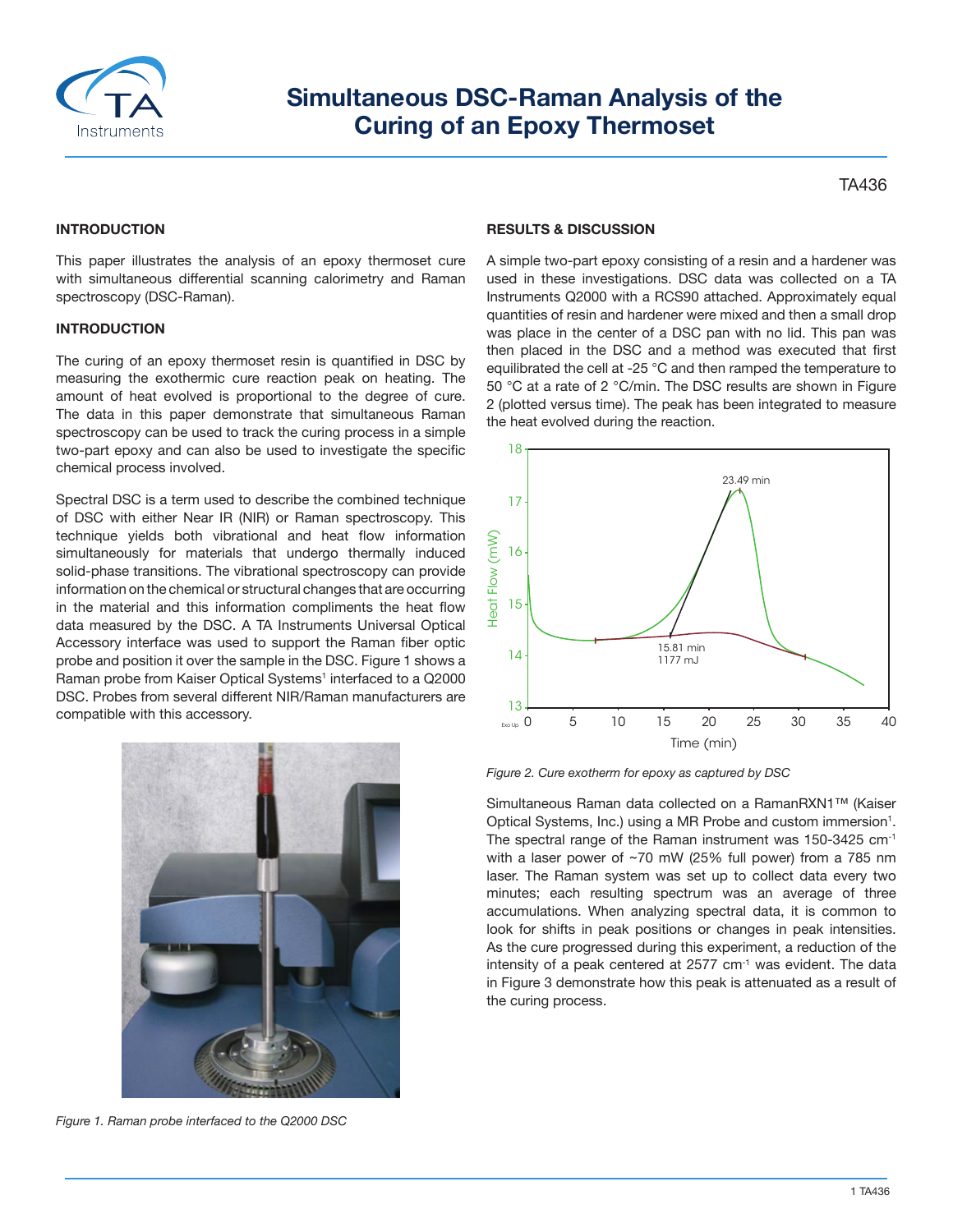

# **Simultaneous DSC‐Raman Analysis of the Curing of an Epoxy Thermoset**

TA436

## **INTRODUCTION**

This paper illustrates the analysis of an epoxy thermoset cure with simultaneous differential scanning calorimetry and Raman spectroscopy (DSC-Raman).

#### **INTRODUCTION**

The curing of an epoxy thermoset resin is quantified in DSC by measuring the exothermic cure reaction peak on heating. The amount of heat evolved is proportional to the degree of cure. The data in this paper demonstrate that simultaneous Raman spectroscopy can be used to track the curing process in a simple two‐part epoxy and can also be used to investigate the specific chemical process involved.

Spectral DSC is a term used to describe the combined technique of DSC with either Near IR (NIR) or Raman spectroscopy. This technique yields both vibrational and heat flow information simultaneously for materials that undergo thermally induced solid‐phase transitions. The vibrational spectroscopy can provide information on the chemical or structural changes that are occurring in the material and this information compliments the heat flow data measured by the DSC. A TA Instruments Universal Optical Accessory interface was used to support the Raman fiber optic probe and position it over the sample in the DSC. Figure 1 shows a Raman probe from Kaiser Optical Systems<sup>1</sup> interfaced to a Q2000 DSC. Probes from several different NIR/Raman manufacturers are compatible with this accessory.



*Figure 1. Raman probe interfaced to the Q2000 DSC*

### **RESULTS & DISCUSSION**

A simple two‐part epoxy consisting of a resin and a hardener was used in these investigations. DSC data was collected on a TA Instruments Q2000 with a RCS90 attached. Approximately equal quantities of resin and hardener were mixed and then a small drop was place in the center of a DSC pan with no lid. This pan was then placed in the DSC and a method was executed that first equilibrated the cell at ‐25 °C and then ramped the temperature to 50 °C at a rate of 2 °C/min. The DSC results are shown in Figure 2 (plotted versus time). The peak has been integrated to measure the heat evolved during the reaction.



*Figure 2. Cure exotherm for epoxy as captured by DSC*

Simultaneous Raman data collected on a RamanRXN1™ (Kaiser Optical Systems, Inc.) using a MR Probe and custom immersion<sup>1</sup>. The spectral range of the Raman instrument was 150-3425 cm-1 with a laser power of ~70 mW (25% full power) from a 785 nm laser. The Raman system was set up to collect data every two minutes; each resulting spectrum was an average of three accumulations. When analyzing spectral data, it is common to look for shifts in peak positions or changes in peak intensities. As the cure progressed during this experiment, a reduction of the intensity of a peak centered at 2577 cm<sup>-1</sup> was evident. The data in Figure 3 demonstrate how this peak is attenuated as a result of